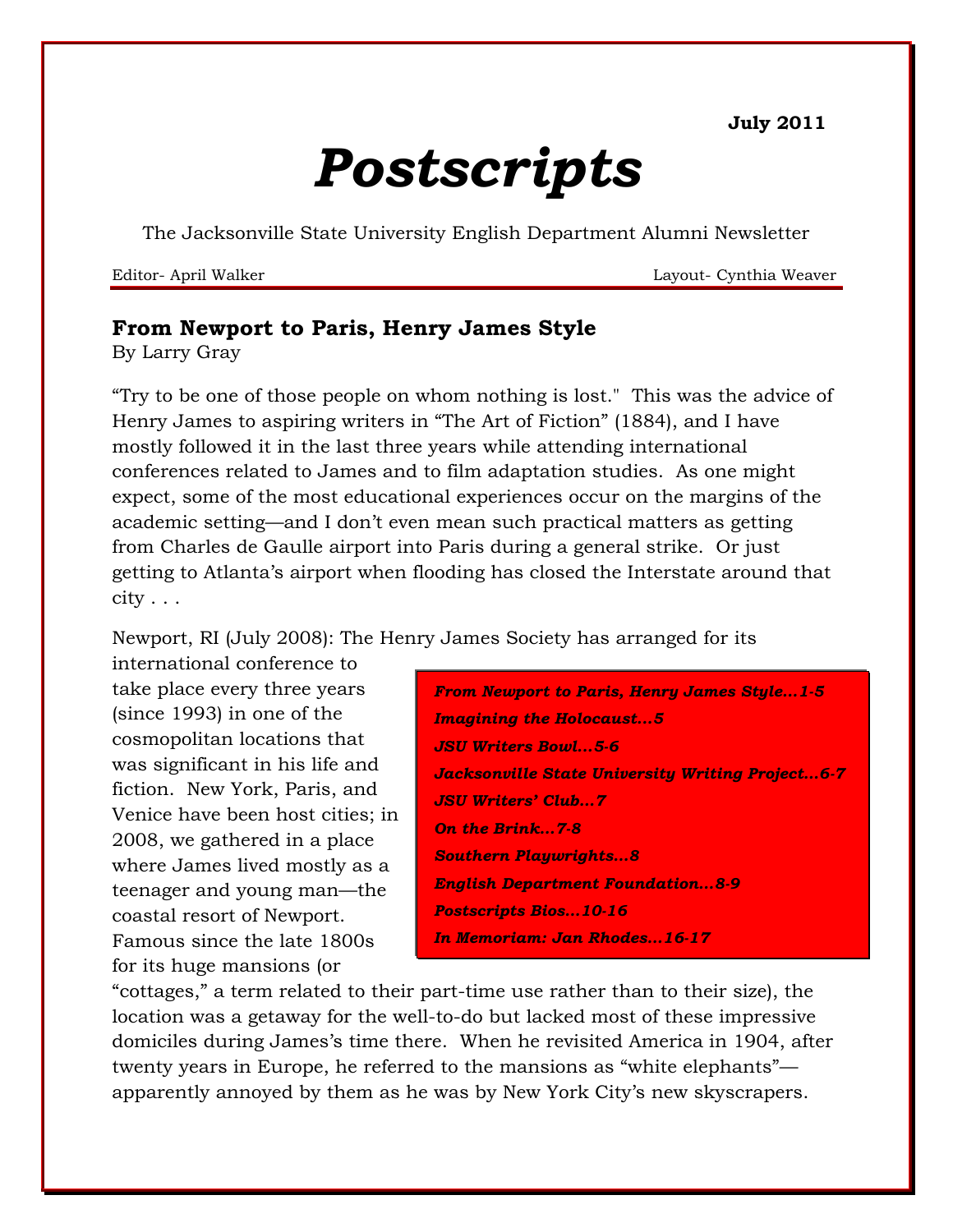**July 2011**

# *Postscripts*

The Jacksonville State University English Department Alumni Newsletter

Editor- April Walker Layout- Cynthia Weaver

# **From Newport to Paris, Henry James Style**

By Larry Gray

"Try to be one of those people on whom nothing is lost." This was the advice of Henry James to aspiring writers in "The Art of Fiction" (1884), and I have mostly followed it in the last three years while attending international conferences related to James and to film adaptation studies. As one might expect, some of the most educational experiences occur on the margins of the academic setting—and I don"t even mean such practical matters as getting from Charles de Gaulle airport into Paris during a general strike. Or just getting to Atlanta"s airport when flooding has closed the Interstate around that  $city \ldots$ 

Newport, RI (July 2008): The Henry James Society has arranged for its

international conference to take place every three years (since 1993) in one of the cosmopolitan locations that was significant in his life and fiction. New York, Paris, and Venice have been host cities; in 2008, we gathered in a place where James lived mostly as a teenager and young man—the coastal resort of Newport. Famous since the late 1800s for its huge mansions (or

*From Newport to Paris, Henry James Style…1-5 Imagining the Holocaust...5 JSU Writers Bowl...5-6 Jacksonville State University Writing Project…6-7 JSU Writers' Club…7 On the Brink…7-8 Southern Playwrights…8 English Department Foundation…8-9 Postscripts Bios…10-16 In Memoriam: Jan Rhodes…16-17*

"cottages," a term related to their part-time use rather than to their size), the location was a getaway for the well-to-do but lacked most of these impressive domiciles during James's time there. When he revisited America in 1904, after twenty years in Europe, he referred to the mansions as "white elephants" apparently annoyed by them as he was by New York City"s new skyscrapers.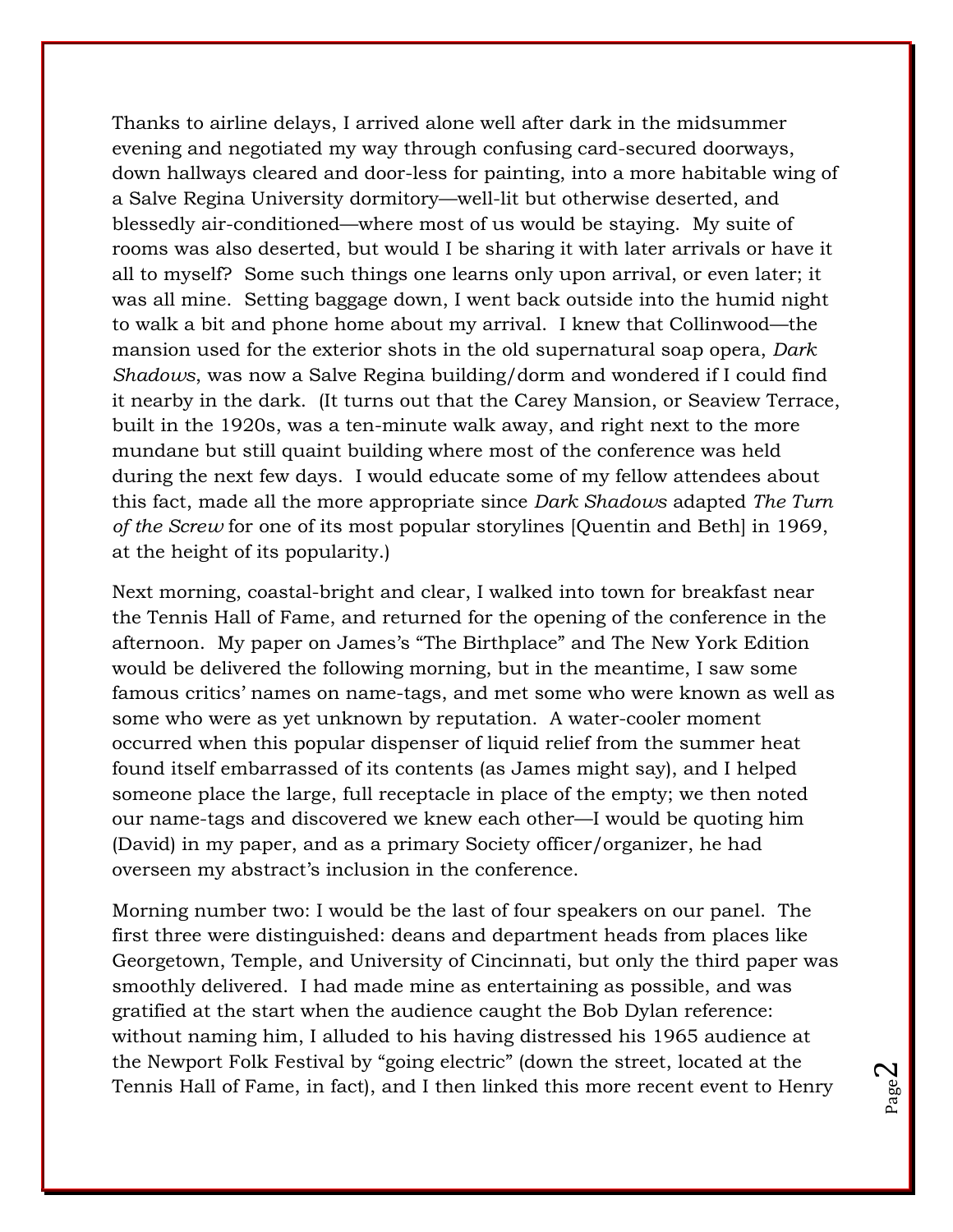Thanks to airline delays, I arrived alone well after dark in the midsummer evening and negotiated my way through confusing card-secured doorways, down hallways cleared and door-less for painting, into a more habitable wing of a Salve Regina University dormitory—well-lit but otherwise deserted, and blessedly air-conditioned—where most of us would be staying. My suite of rooms was also deserted, but would I be sharing it with later arrivals or have it all to myself? Some such things one learns only upon arrival, or even later; it was all mine. Setting baggage down, I went back outside into the humid night to walk a bit and phone home about my arrival. I knew that Collinwood—the mansion used for the exterior shots in the old supernatural soap opera, *Dark Shadows*, was now a Salve Regina building/dorm and wondered if I could find it nearby in the dark. (It turns out that the Carey Mansion, or Seaview Terrace, built in the 1920s, was a ten-minute walk away, and right next to the more mundane but still quaint building where most of the conference was held during the next few days. I would educate some of my fellow attendees about this fact, made all the more appropriate since *Dark Shadows* adapted *The Turn of the Screw* for one of its most popular storylines [Quentin and Beth] in 1969, at the height of its popularity.)

Next morning, coastal-bright and clear, I walked into town for breakfast near the Tennis Hall of Fame, and returned for the opening of the conference in the afternoon. My paper on James's "The Birthplace" and The New York Edition would be delivered the following morning, but in the meantime, I saw some famous critics' names on name-tags, and met some who were known as well as some who were as yet unknown by reputation. A water-cooler moment occurred when this popular dispenser of liquid relief from the summer heat found itself embarrassed of its contents (as James might say), and I helped someone place the large, full receptacle in place of the empty; we then noted our name-tags and discovered we knew each other—I would be quoting him (David) in my paper, and as a primary Society officer/organizer, he had overseen my abstract's inclusion in the conference.

Morning number two: I would be the last of four speakers on our panel. The first three were distinguished: deans and department heads from places like Georgetown, Temple, and University of Cincinnati, but only the third paper was smoothly delivered. I had made mine as entertaining as possible, and was gratified at the start when the audience caught the Bob Dylan reference: without naming him, I alluded to his having distressed his 1965 audience at the Newport Folk Festival by "going electric" (down the street, located at the Tennis Hall of Fame, in fact), and I then linked this more recent event to Henry

Page  $\boldsymbol{\sim}$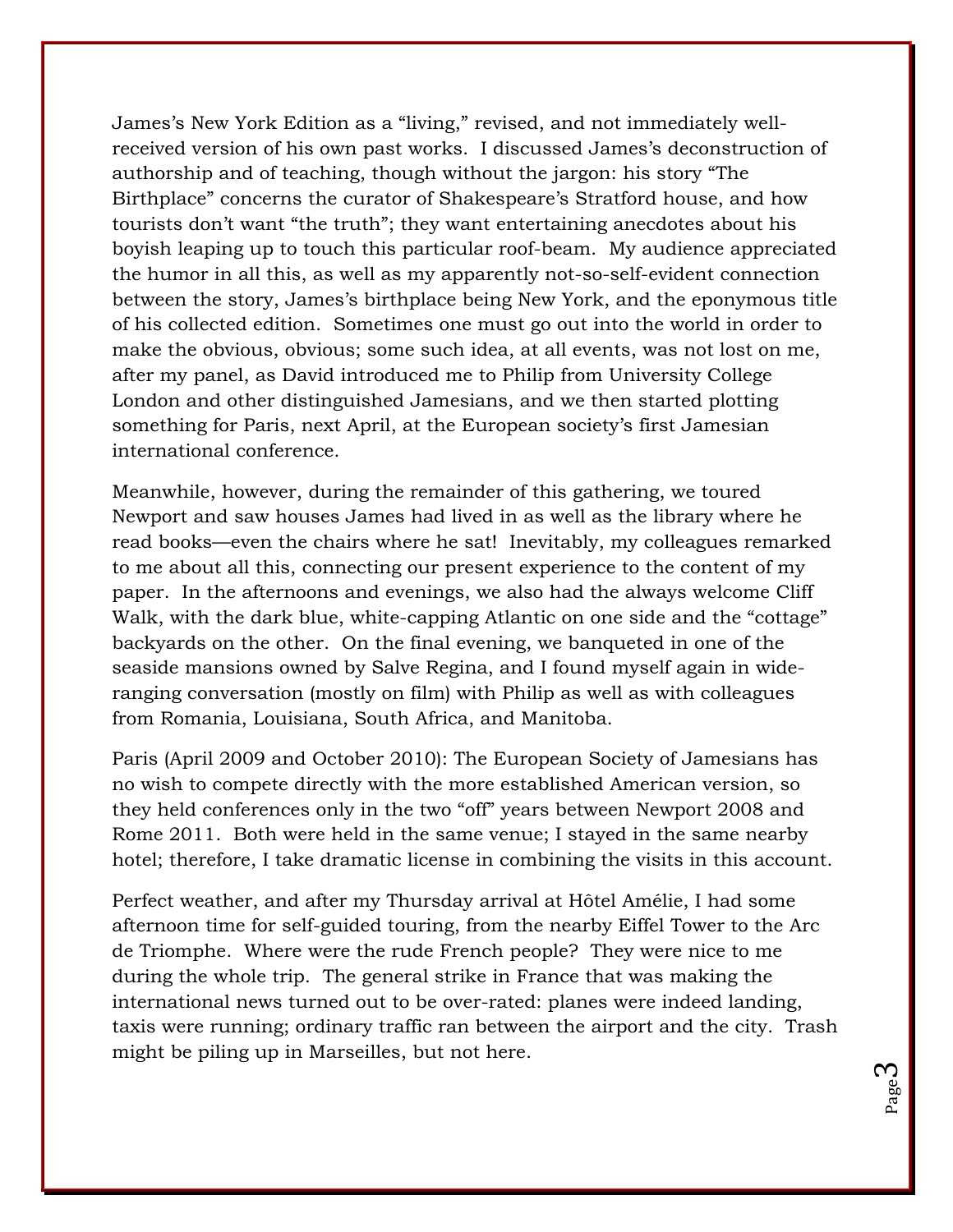James's New York Edition as a "living," revised, and not immediately wellreceived version of his own past works. I discussed James's deconstruction of authorship and of teaching, though without the jargon: his story "The Birthplace" concerns the curator of Shakespeare's Stratford house, and how tourists don"t want "the truth"; they want entertaining anecdotes about his boyish leaping up to touch this particular roof-beam. My audience appreciated the humor in all this, as well as my apparently not-so-self-evident connection between the story, James's birthplace being New York, and the eponymous title of his collected edition. Sometimes one must go out into the world in order to make the obvious, obvious; some such idea, at all events, was not lost on me, after my panel, as David introduced me to Philip from University College London and other distinguished Jamesians, and we then started plotting something for Paris, next April, at the European society's first Jamesian international conference.

Meanwhile, however, during the remainder of this gathering, we toured Newport and saw houses James had lived in as well as the library where he read books—even the chairs where he sat! Inevitably, my colleagues remarked to me about all this, connecting our present experience to the content of my paper. In the afternoons and evenings, we also had the always welcome Cliff Walk, with the dark blue, white-capping Atlantic on one side and the "cottage" backyards on the other. On the final evening, we banqueted in one of the seaside mansions owned by Salve Regina, and I found myself again in wideranging conversation (mostly on film) with Philip as well as with colleagues from Romania, Louisiana, South Africa, and Manitoba.

Paris (April 2009 and October 2010): The European Society of Jamesians has no wish to compete directly with the more established American version, so they held conferences only in the two "off" years between Newport 2008 and Rome 2011. Both were held in the same venue; I stayed in the same nearby hotel; therefore, I take dramatic license in combining the visits in this account.

Perfect weather, and after my Thursday arrival at Hôtel Amélie, I had some afternoon time for self-guided touring, from the nearby Eiffel Tower to the Arc de Triomphe. Where were the rude French people? They were nice to me during the whole trip. The general strike in France that was making the international news turned out to be over-rated: planes were indeed landing, taxis were running; ordinary traffic ran between the airport and the city. Trash might be piling up in Marseilles, but not here.

> Page ო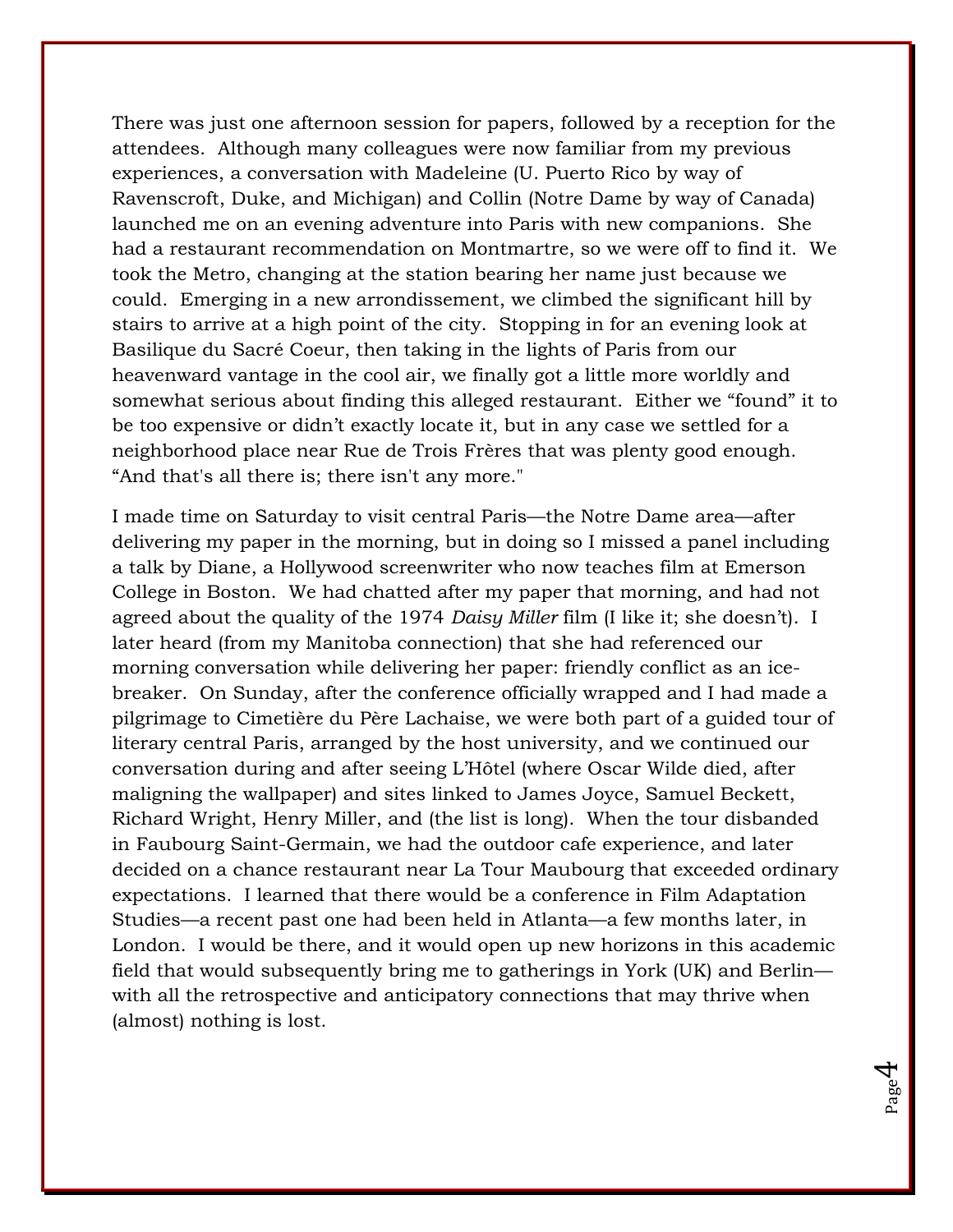There was just one afternoon session for papers, followed by a reception for the attendees. Although many colleagues were now familiar from my previous experiences, a conversation with Madeleine (U. Puerto Rico by way of Ravenscroft, Duke, and Michigan) and Collin (Notre Dame by way of Canada) launched me on an evening adventure into Paris with new companions. She had a restaurant recommendation on Montmartre, so we were off to find it. We took the Metro, changing at the station bearing her name just because we could. Emerging in a new arrondissement, we climbed the significant hill by stairs to arrive at a high point of the city. Stopping in for an evening look at Basilique du Sacré Coeur, then taking in the lights of Paris from our heavenward vantage in the cool air, we finally got a little more worldly and somewhat serious about finding this alleged restaurant. Either we "found" it to be too expensive or didn't exactly locate it, but in any case we settled for a neighborhood place near Rue de Trois Frères that was plenty good enough. "And that's all there is; there isn't any more."

I made time on Saturday to visit central Paris—the Notre Dame area—after delivering my paper in the morning, but in doing so I missed a panel including a talk by Diane, a Hollywood screenwriter who now teaches film at Emerson College in Boston. We had chatted after my paper that morning, and had not agreed about the quality of the 1974 *Daisy Miller* film (I like it; she doesn"t). I later heard (from my Manitoba connection) that she had referenced our morning conversation while delivering her paper: friendly conflict as an icebreaker. On Sunday, after the conference officially wrapped and I had made a pilgrimage to Cimetière du Père Lachaise, we were both part of a guided tour of literary central Paris, arranged by the host university, and we continued our conversation during and after seeing L"Hôtel (where Oscar Wilde died, after maligning the wallpaper) and sites linked to James Joyce, Samuel Beckett, Richard Wright, Henry Miller, and (the list is long). When the tour disbanded in Faubourg Saint-Germain, we had the outdoor cafe experience, and later decided on a chance restaurant near La Tour Maubourg that exceeded ordinary expectations. I learned that there would be a conference in Film Adaptation Studies—a recent past one had been held in Atlanta—a few months later, in London. I would be there, and it would open up new horizons in this academic field that would subsequently bring me to gatherings in York (UK) and Berlin with all the retrospective and anticipatory connections that may thrive when (almost) nothing is lost.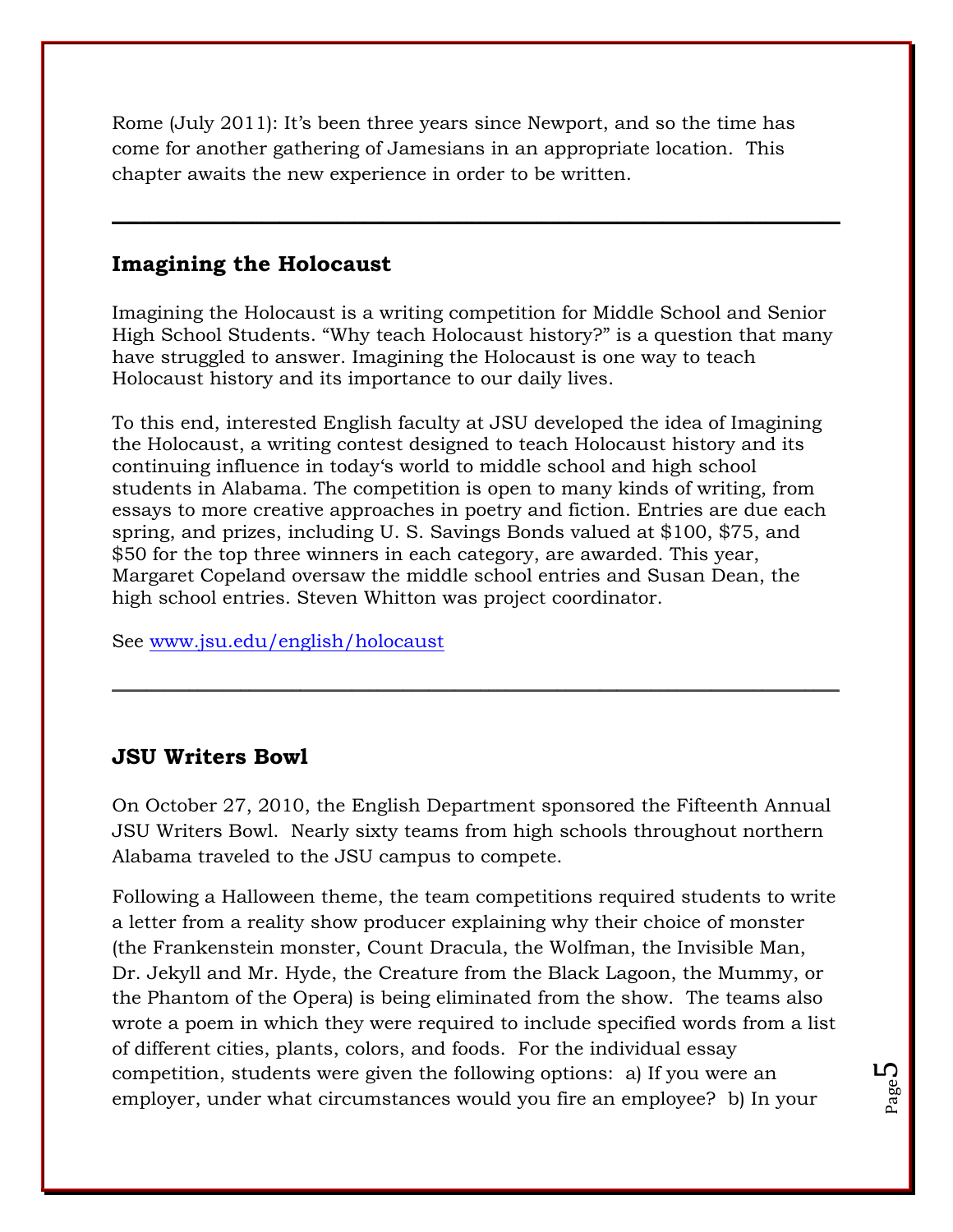Rome (July 2011): It's been three years since Newport, and so the time has come for another gathering of Jamesians in an appropriate location. This chapter awaits the new experience in order to be written.

#### **Imagining the Holocaust**

Imagining the Holocaust is a writing competition for Middle School and Senior High School Students. "Why teach Holocaust history?" is a question that many have struggled to answer. Imagining the Holocaust is one way to teach Holocaust history and its importance to our daily lives.

 $\_$  , and the set of the set of the set of the set of the set of the set of the set of the set of the set of the set of the set of the set of the set of the set of the set of the set of the set of the set of the set of th

To this end, interested English faculty at JSU developed the idea of Imagining the Holocaust, a writing contest designed to teach Holocaust history and its continuing influence in today"s world to middle school and high school students in Alabama. The competition is open to many kinds of writing, from essays to more creative approaches in poetry and fiction. Entries are due each spring, and prizes, including U. S. Savings Bonds valued at \$100, \$75, and \$50 for the top three winners in each category, are awarded. This year, Margaret Copeland oversaw the middle school entries and Susan Dean, the high school entries. Steven Whitton was project coordinator.

See [www.jsu.edu/english/holocaust](http://www.jsu.edu/english/holocaust)

#### **JSU Writers Bowl**

On October 27, 2010, the English Department sponsored the Fifteenth Annual JSU Writers Bowl. Nearly sixty teams from high schools throughout northern Alabama traveled to the JSU campus to compete.

 $\_$  , and the set of the set of the set of the set of the set of the set of the set of the set of the set of the set of the set of the set of the set of the set of the set of the set of the set of the set of the set of th

Following a Halloween theme, the team competitions required students to write a letter from a reality show producer explaining why their choice of monster (the Frankenstein monster, Count Dracula, the Wolfman, the Invisible Man, Dr. Jekyll and Mr. Hyde, the Creature from the Black Lagoon, the Mummy, or the Phantom of the Opera) is being eliminated from the show. The teams also wrote a poem in which they were required to include specified words from a list of different cities, plants, colors, and foods. For the individual essay competition, students were given the following options: a) If you were an employer, under what circumstances would you fire an employee? b) In your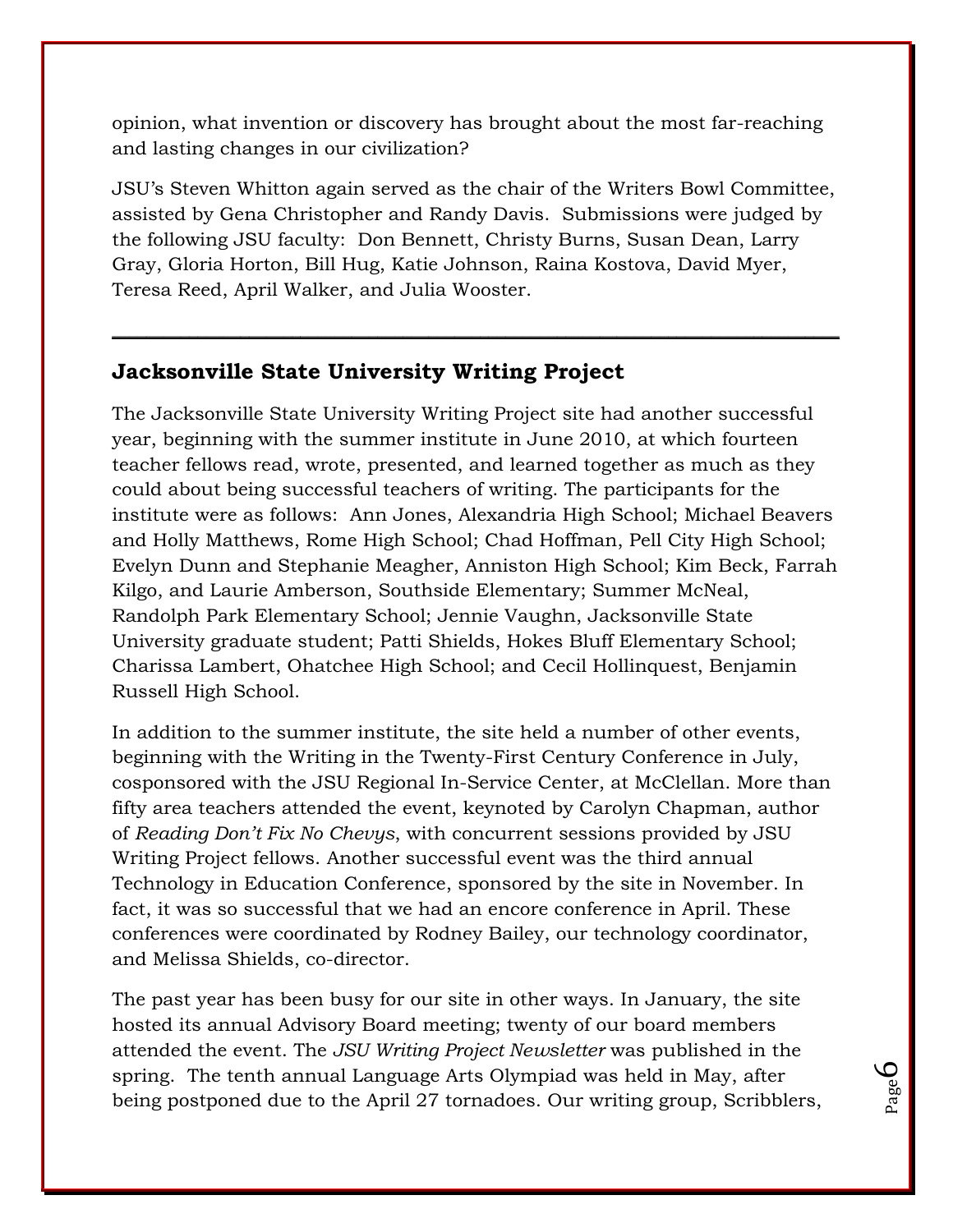opinion, what invention or discovery has brought about the most far-reaching and lasting changes in our civilization?

JSU"s Steven Whitton again served as the chair of the Writers Bowl Committee, assisted by Gena Christopher and Randy Davis. Submissions were judged by the following JSU faculty: Don Bennett, Christy Burns, Susan Dean, Larry Gray, Gloria Horton, Bill Hug, Katie Johnson, Raina Kostova, David Myer, Teresa Reed, April Walker, and Julia Wooster.

 $\_$  , and the set of the set of the set of the set of the set of the set of the set of the set of the set of the set of the set of the set of the set of the set of the set of the set of the set of the set of the set of th

# **Jacksonville State University Writing Project**

The Jacksonville State University Writing Project site had another successful year, beginning with the summer institute in June 2010, at which fourteen teacher fellows read, wrote, presented, and learned together as much as they could about being successful teachers of writing. The participants for the institute were as follows: Ann Jones, Alexandria High School; Michael Beavers and Holly Matthews, Rome High School; Chad Hoffman, Pell City High School; Evelyn Dunn and Stephanie Meagher, Anniston High School; Kim Beck, Farrah Kilgo, and Laurie Amberson, Southside Elementary; Summer McNeal, Randolph Park Elementary School; Jennie Vaughn, Jacksonville State University graduate student; Patti Shields, Hokes Bluff Elementary School; Charissa Lambert, Ohatchee High School; and Cecil Hollinquest, Benjamin Russell High School.

In addition to the summer institute, the site held a number of other events, beginning with the Writing in the Twenty-First Century Conference in July, cosponsored with the JSU Regional In-Service Center, at McClellan. More than fifty area teachers attended the event, keynoted by Carolyn Chapman, author of *Reading Don't Fix No Chevys*, with concurrent sessions provided by JSU Writing Project fellows. Another successful event was the third annual Technology in Education Conference, sponsored by the site in November. In fact, it was so successful that we had an encore conference in April. These conferences were coordinated by Rodney Bailey, our technology coordinator, and Melissa Shields, co-director.

The past year has been busy for our site in other ways. In January, the site hosted its annual Advisory Board meeting; twenty of our board members attended the event. The *JSU Writing Project Newsletter* was published in the spring. The tenth annual Language Arts Olympiad was held in May, after being postponed due to the April 27 tornadoes. Our writing group, Scribblers,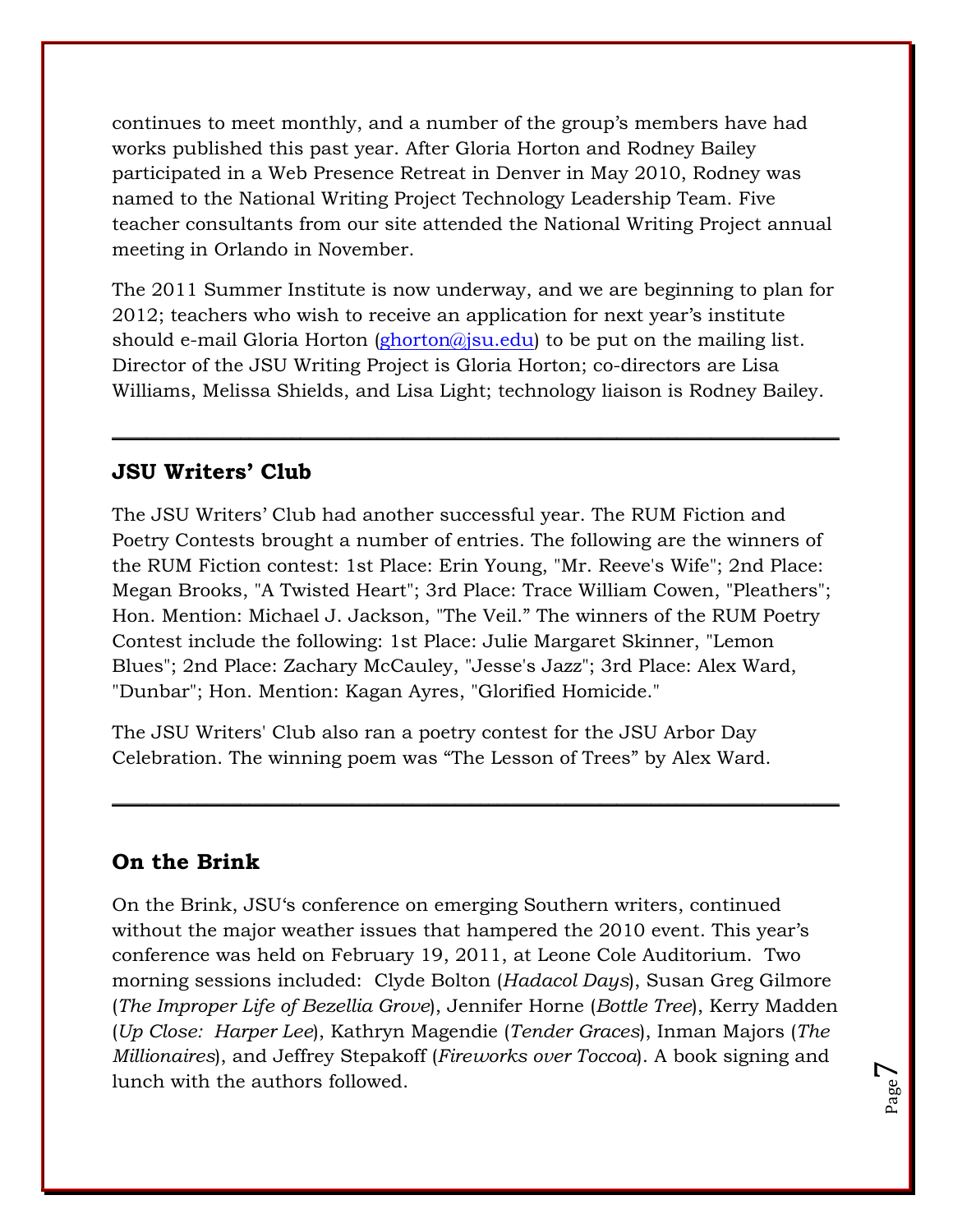continues to meet monthly, and a number of the group"s members have had works published this past year. After Gloria Horton and Rodney Bailey participated in a Web Presence Retreat in Denver in May 2010, Rodney was named to the National Writing Project Technology Leadership Team. Five teacher consultants from our site attended the National Writing Project annual meeting in Orlando in November.

The 2011 Summer Institute is now underway, and we are beginning to plan for 2012; teachers who wish to receive an application for next year"s institute should e-mail Gloria Horton [\(ghorton@jsu.edu\)](mailto:ghorton@jsu.edu) to be put on the mailing list. Director of the JSU Writing Project is Gloria Horton; co-directors are Lisa Williams, Melissa Shields, and Lisa Light; technology liaison is Rodney Bailey.

**\_\_\_\_\_\_\_\_\_\_\_\_\_\_\_\_\_\_\_\_\_\_\_\_\_\_\_\_\_\_\_\_\_\_\_\_\_\_\_\_\_\_\_\_\_\_\_\_\_\_\_\_\_\_\_\_\_\_\_\_\_\_\_\_\_\_\_\_\_\_\_\_\_\_\_\_\_\_\_\_\_\_\_\_\_**

# **JSU Writers' Club**

The JSU Writers' Club had another successful year. The RUM Fiction and Poetry Contests brought a number of entries. The following are the winners of the RUM Fiction contest: 1st Place: Erin Young, "Mr. Reeve's Wife"; 2nd Place: Megan Brooks, "A Twisted Heart"; 3rd Place: Trace William Cowen, "Pleathers"; Hon. Mention: Michael J. Jackson, "The Veil." The winners of the RUM Poetry Contest include the following: 1st Place: Julie Margaret Skinner, "Lemon Blues"; 2nd Place: Zachary McCauley, "Jesse's Jazz"; 3rd Place: Alex Ward, "Dunbar"; Hon. Mention: Kagan Ayres, "Glorified Homicide."

The JSU Writers' Club also ran a poetry contest for the JSU Arbor Day Celebration. The winning poem was "The Lesson of Trees" by Alex Ward.

#### **On the Brink**

On the Brink, JSU"s conference on emerging Southern writers, continued without the major weather issues that hampered the 2010 event. This year's conference was held on February 19, 2011, at Leone Cole Auditorium. Two morning sessions included: Clyde Bolton (*Hadacol Days*), Susan Greg Gilmore (*The Improper Life of Bezellia Grove*), Jennifer Horne (*Bottle Tree*), Kerry Madden (*Up Close: Harper Lee*), Kathryn Magendie (*Tender Graces*), Inman Majors (*The Millionaires*), and Jeffrey Stepakoff (*Fireworks over Toccoa*). A book signing and lunch with the authors followed.

 $\_$  ,  $\_$  ,  $\_$  ,  $\_$  ,  $\_$  ,  $\_$  ,  $\_$  ,  $\_$  ,  $\_$  ,  $\_$  ,  $\_$  ,  $\_$  ,  $\_$  ,  $\_$  ,  $\_$  ,  $\_$  ,  $\_$  ,  $\_$  ,  $\_$  ,  $\_$  ,  $\_$  ,  $\_$  ,  $\_$  ,  $\_$  ,  $\_$  ,  $\_$  ,  $\_$  ,  $\_$  ,  $\_$  ,  $\_$  ,  $\_$  ,  $\_$  ,  $\_$  ,  $\_$  ,  $\_$  ,  $\_$  ,  $\_$  ,

Page  $\blacktriangleright$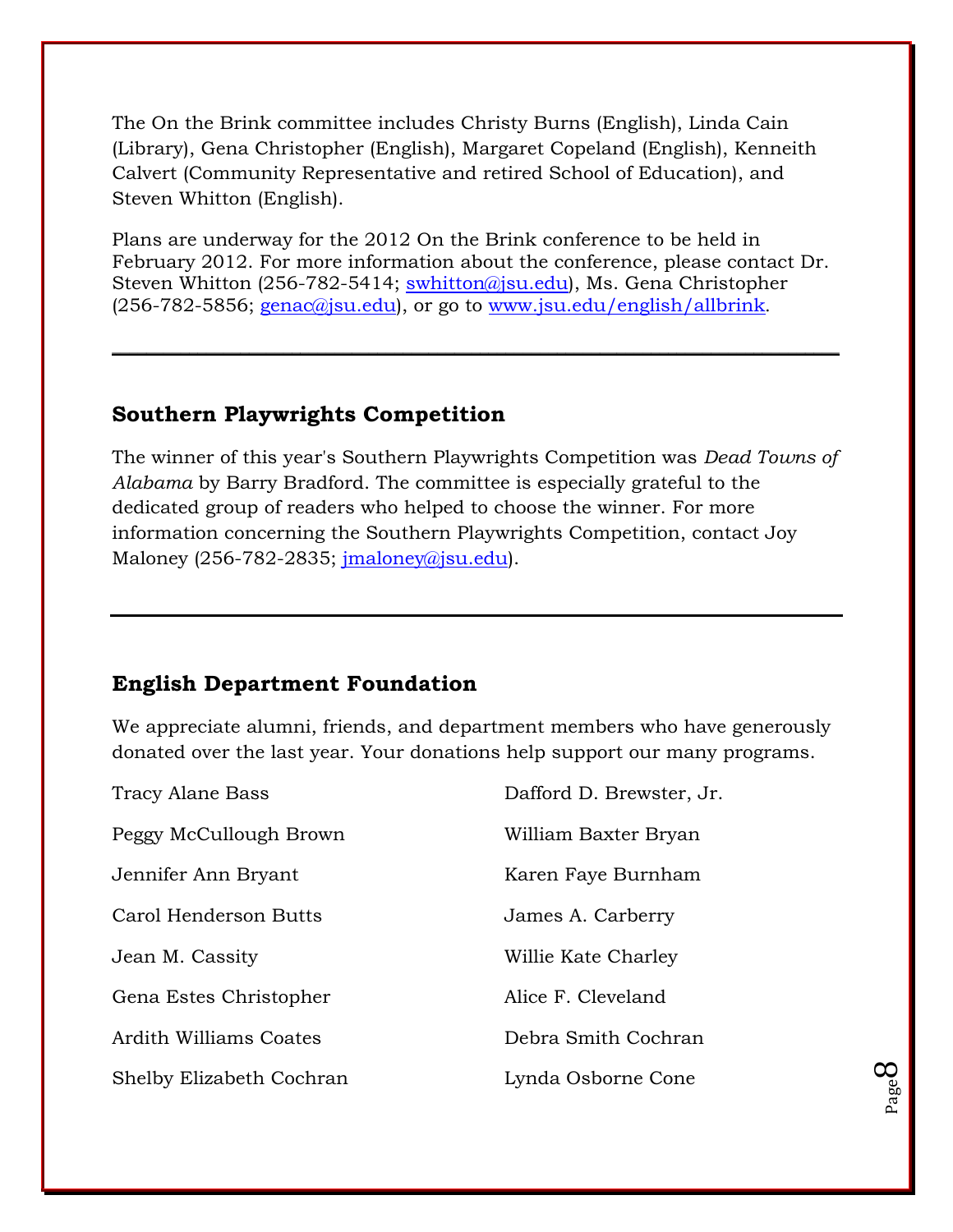The On the Brink committee includes Christy Burns (English), Linda Cain (Library), Gena Christopher (English), Margaret Copeland (English), Kenneith Calvert (Community Representative and retired School of Education), and Steven Whitton (English).

Plans are underway for the 2012 On the Brink conference to be held in February 2012. For more information about the conference, please contact Dr. Steven Whitton (256-782-5414; [swhitton@jsu.edu\)](mailto:swhitton@jsu.edu), Ms. Gena Christopher  $(256-782-5856; \text{genac@jsu.edu}),$  or go to [www.jsu.edu/english/allbrink](http://www.jsu.edu/english/allbrink).

 $\_$  , and the set of the set of the set of the set of the set of the set of the set of the set of the set of the set of the set of the set of the set of the set of the set of the set of the set of the set of the set of th

# **Southern Playwrights Competition**

The winner of this year's Southern Playwrights Competition was *Dead Towns of Alabama* by Barry Bradford. The committee is especially grateful to the dedicated group of readers who helped to choose the winner. For more information concerning the Southern Playwrights Competition, contact Joy Maloney (256-782-2835;  $imaloney@jsu.edu$ ).

# **English Department Foundation**

We appreciate alumni, friends, and department members who have generously donated over the last year. Your donations help support our many programs.

> Page  $\infty$

| <b>Tracy Alane Bass</b>  | Dafford D. Brewster, Jr. |
|--------------------------|--------------------------|
| Peggy McCullough Brown   | William Baxter Bryan     |
| Jennifer Ann Bryant      | Karen Faye Burnham       |
| Carol Henderson Butts    | James A. Carberry        |
| Jean M. Cassity          | Willie Kate Charley      |
| Gena Estes Christopher   | Alice F. Cleveland       |
| Ardith Williams Coates   | Debra Smith Cochran      |
| Shelby Elizabeth Cochran | Lynda Osborne Cone       |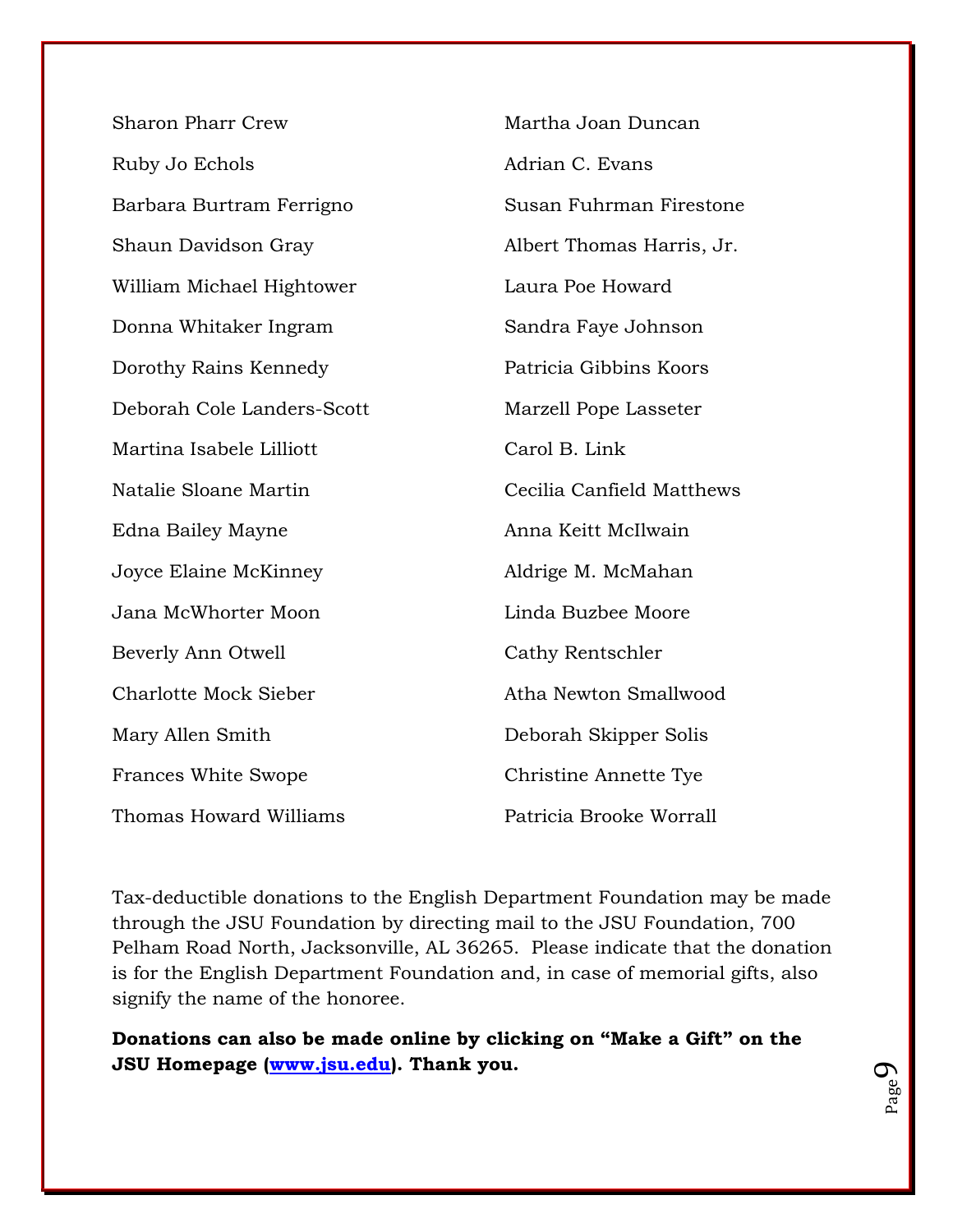| <b>Sharon Pharr Crew</b>     | Martha Joan Duncan        |
|------------------------------|---------------------------|
| Ruby Jo Echols               | Adrian C. Evans           |
| Barbara Burtram Ferrigno     | Susan Fuhrman Firestone   |
| Shaun Davidson Gray          | Albert Thomas Harris, Jr. |
| William Michael Hightower    | Laura Poe Howard          |
| Donna Whitaker Ingram        | Sandra Faye Johnson       |
| Dorothy Rains Kennedy        | Patricia Gibbins Koors    |
| Deborah Cole Landers-Scott   | Marzell Pope Lasseter     |
| Martina Isabele Lilliott     | Carol B. Link             |
| Natalie Sloane Martin        | Cecilia Canfield Matthews |
| Edna Bailey Mayne            | Anna Keitt McIlwain       |
| Joyce Elaine McKinney        | Aldrige M. McMahan        |
| Jana McWhorter Moon          | Linda Buzbee Moore        |
| Beverly Ann Otwell           | Cathy Rentschler          |
| <b>Charlotte Mock Sieber</b> | Atha Newton Smallwood     |
| Mary Allen Smith             | Deborah Skipper Solis     |
| <b>Frances White Swope</b>   | Christine Annette Tye     |
| Thomas Howard Williams       | Patricia Brooke Worrall   |

Tax-deductible donations to the English Department Foundation may be made through the JSU Foundation by directing mail to the JSU Foundation, 700 Pelham Road North, Jacksonville, AL 36265. Please indicate that the donation is for the English Department Foundation and, in case of memorial gifts, also signify the name of the honoree.

**Donations can also be made online by clicking on "Make a Gift" on the JSU Homepage [\(www.jsu.edu\)](http://www.jsu.edu/). Thank you.**

Page  $\mathcal{O}$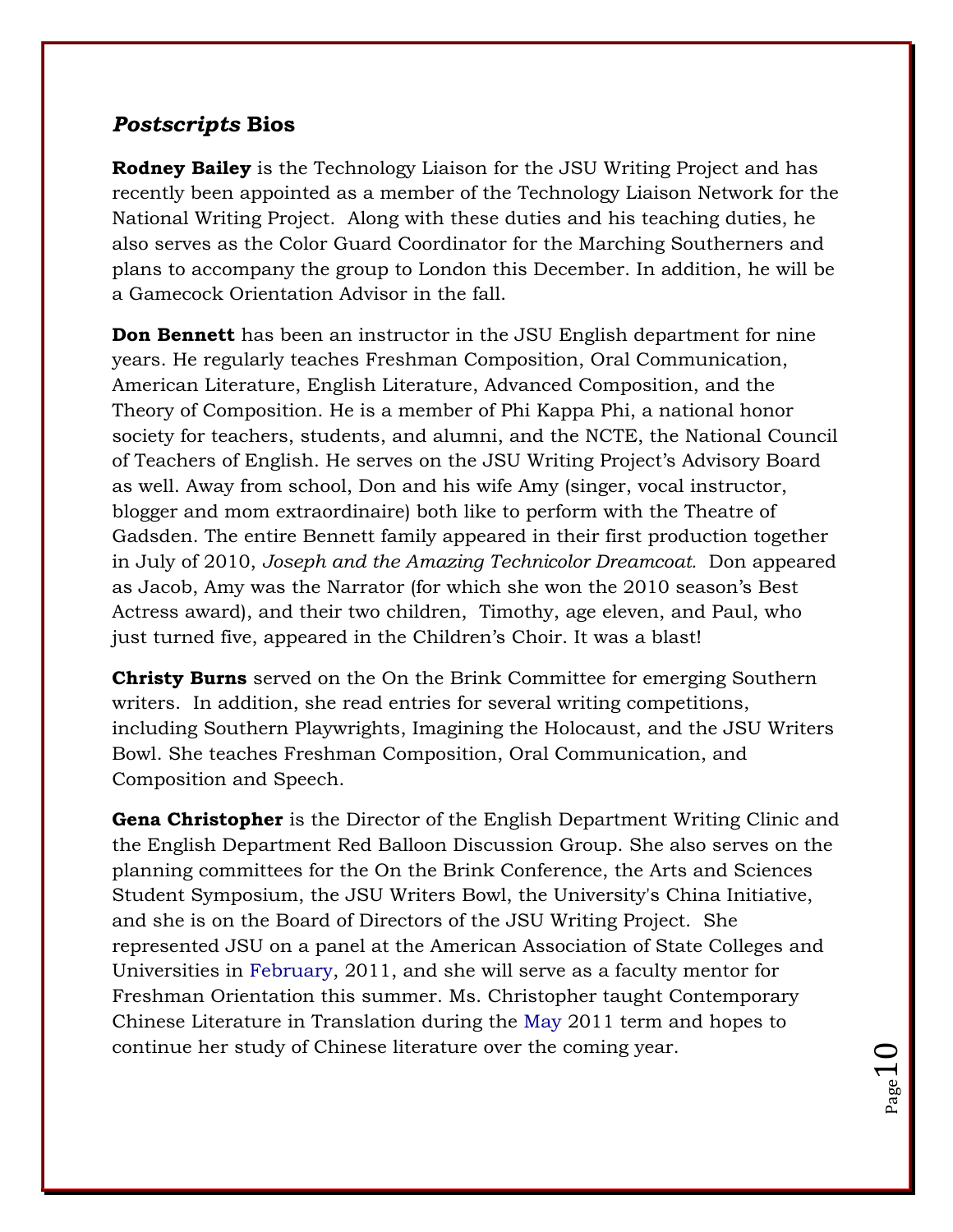# *Postscripts* **Bios**

**Rodney Bailey** is the Technology Liaison for the JSU Writing Project and has recently been appointed as a member of the Technology Liaison Network for the National Writing Project. Along with these duties and his teaching duties, he also serves as the Color Guard Coordinator for the Marching Southerners and plans to accompany the group to London this December. In addition, he will be a Gamecock Orientation Advisor in the fall.

**Don Bennett** has been an instructor in the JSU English department for nine years. He regularly teaches Freshman Composition, Oral Communication, American Literature, English Literature, Advanced Composition, and the Theory of Composition. He is a member of Phi Kappa Phi, a national honor society for teachers, students, and alumni, and the NCTE, the National Council of Teachers of English. He serves on the JSU Writing Project"s Advisory Board as well. Away from school, Don and his wife Amy (singer, vocal instructor, blogger and mom extraordinaire) both like to perform with the Theatre of Gadsden. The entire Bennett family appeared in their first production together in July of 2010, *Joseph and the Amazing Technicolor Dreamcoat.* Don appeared as Jacob, Amy was the Narrator (for which she won the 2010 season"s Best Actress award), and their two children, Timothy, age eleven, and Paul, who just turned five, appeared in the Children's Choir. It was a blast!

**Christy Burns** served on the On the Brink Committee for emerging Southern writers. In addition, she read entries for several writing competitions, including Southern Playwrights, Imagining the Holocaust, and the JSU Writers Bowl. She teaches Freshman Composition, Oral Communication, and Composition and Speech.

**Gena Christopher** is the Director of the English Department Writing Clinic and the English Department Red Balloon Discussion Group. She also serves on the planning committees for the On the Brink Conference, the Arts and Sciences Student Symposium, the JSU Writers Bowl, the University's China Initiative, and she is on the Board of Directors of the JSU Writing Project. She represented JSU on a panel at the American Association of State Colleges and Universities in February, 2011, and she will serve as a faculty mentor for Freshman Orientation this summer. Ms. Christopher taught Contemporary Chinese Literature in Translation during the May 2011 term and hopes to continue her study of Chinese literature over the coming year.

 $_{\rm Page}10$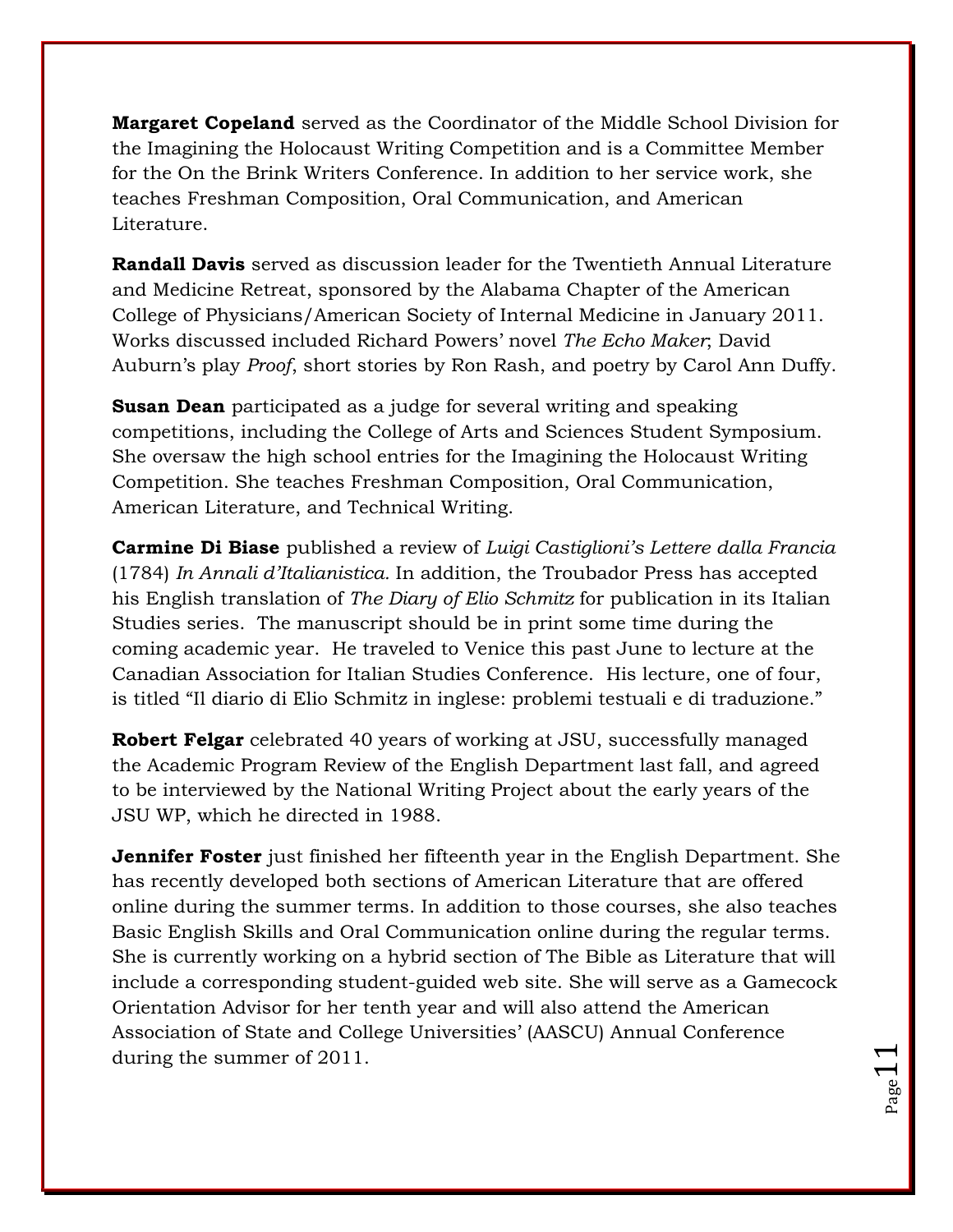**Margaret Copeland** served as the Coordinator of the Middle School Division for the Imagining the Holocaust Writing Competition and is a Committee Member for the On the Brink Writers Conference. In addition to her service work, she teaches Freshman Composition, Oral Communication, and American Literature.

**Randall Davis** served as discussion leader for the Twentieth Annual Literature and Medicine Retreat, sponsored by the Alabama Chapter of the American College of Physicians/American Society of Internal Medicine in January 2011. Works discussed included Richard Powers" novel *The Echo Maker*; David Auburn"s play *Proof*, short stories by Ron Rash, and poetry by Carol Ann Duffy.

**Susan Dean** participated as a judge for several writing and speaking competitions, including the College of Arts and Sciences Student Symposium. She oversaw the high school entries for the Imagining the Holocaust Writing Competition. She teaches Freshman Composition, Oral Communication, American Literature, and Technical Writing.

**Carmine Di Biase** published a review of *Luigi Castiglioni's Lettere dalla Francia* (1784) *In Annali d'Italianistica.* In addition, the Troubador Press has accepted his English translation of *The Diary of Elio Schmitz* for publication in its Italian Studies series. The manuscript should be in print some time during the coming academic year. He traveled to Venice this past June to lecture at the Canadian Association for Italian Studies Conference. His lecture, one of four, is titled "Il diario di Elio Schmitz in inglese: problemi testuali e di traduzione."

**Robert Felgar** celebrated 40 years of working at JSU, successfully managed the Academic Program Review of the English Department last fall, and agreed to be interviewed by the National Writing Project about the early years of the JSU WP, which he directed in 1988.

**Jennifer Foster** just finished her fifteenth year in the English Department. She has recently developed both sections of American Literature that are offered online during the summer terms. In addition to those courses, she also teaches Basic English Skills and Oral Communication online during the regular terms. She is currently working on a hybrid section of The Bible as Literature that will include a corresponding student-guided web site. She will serve as a Gamecock Orientation Advisor for her tenth year and will also attend the American Association of State and College Universities" (AASCU) Annual Conference during the summer of 2011.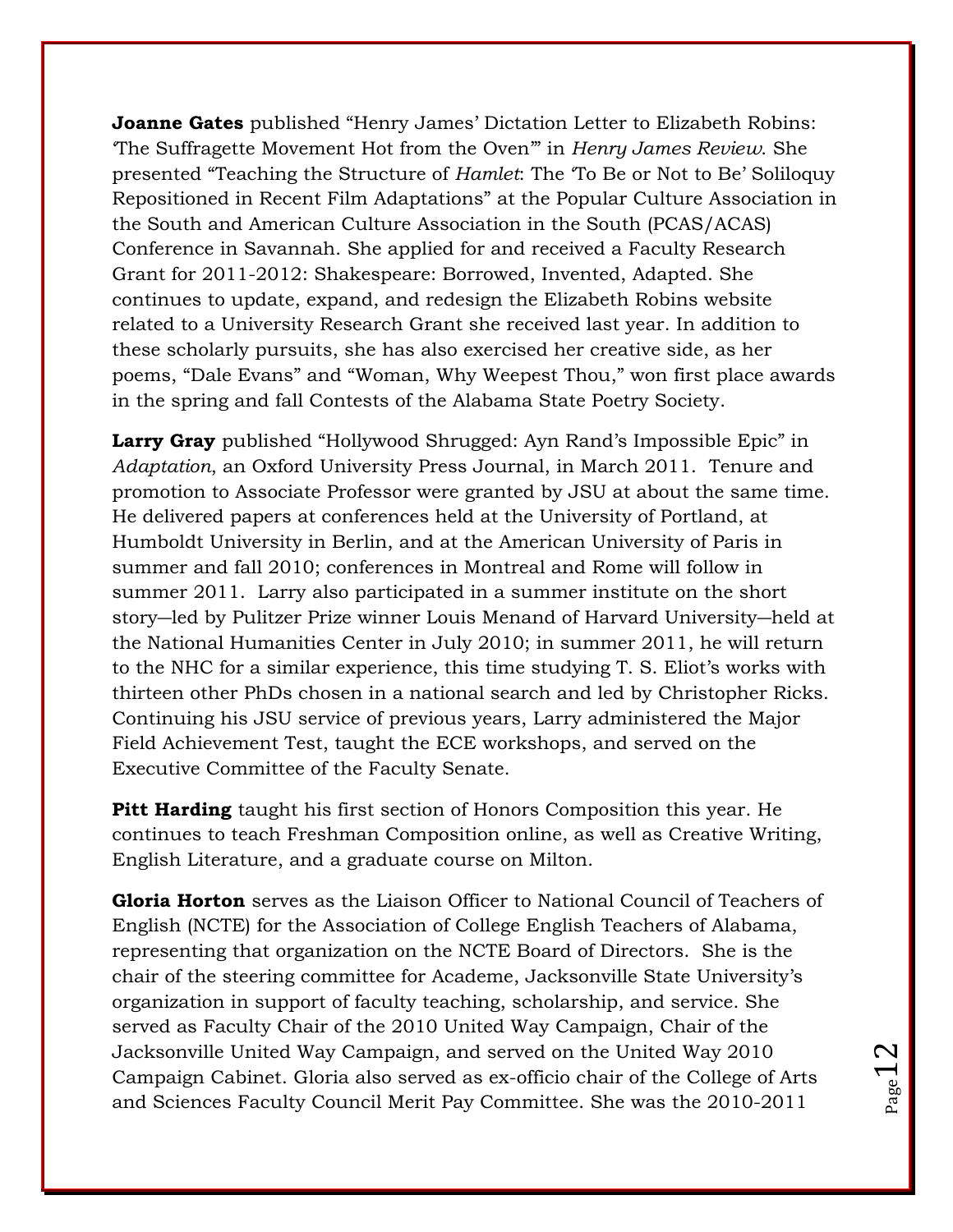**Joanne Gates** published "Henry James' Dictation Letter to Elizabeth Robins: "The Suffragette Movement Hot from the Oven"" in *Henry James Review*. She presented "Teaching the Structure of *Hamlet*: The "To Be or Not to Be" Soliloquy Repositioned in Recent Film Adaptations" at the Popular Culture Association in the South and American Culture Association in the South (PCAS/ACAS) Conference in Savannah. She applied for and received a Faculty Research Grant for 2011-2012: Shakespeare: Borrowed, Invented, Adapted. She continues to update, expand, and redesign the Elizabeth Robins website related to a University Research Grant she received last year. In addition to these scholarly pursuits, she has also exercised her creative side, as her poems, "Dale Evans" and "Woman, Why Weepest Thou," won first place awards in the spring and fall Contests of the Alabama State Poetry Society.

Larry Gray published "Hollywood Shrugged: Ayn Rand's Impossible Epic" in *Adaptation*, an Oxford University Press Journal, in March 2011. Tenure and promotion to Associate Professor were granted by JSU at about the same time. He delivered papers at conferences held at the University of Portland, at Humboldt University in Berlin, and at the American University of Paris in summer and fall 2010; conferences in Montreal and Rome will follow in summer 2011. Larry also participated in a summer institute on the short story―led by Pulitzer Prize winner Louis Menand of Harvard University―held at the National Humanities Center in July 2010; in summer 2011, he will return to the NHC for a similar experience, this time studying T. S. Eliot"s works with thirteen other PhDs chosen in a national search and led by Christopher Ricks. Continuing his JSU service of previous years, Larry administered the Major Field Achievement Test, taught the ECE workshops, and served on the Executive Committee of the Faculty Senate.

**Pitt Harding** taught his first section of Honors Composition this year. He continues to teach Freshman Composition online, as well as Creative Writing, English Literature, and a graduate course on Milton.

**Gloria Horton** serves as the Liaison Officer to National Council of Teachers of English (NCTE) for the Association of College English Teachers of Alabama, representing that organization on the NCTE Board of Directors. She is the chair of the steering committee for Academe, Jacksonville State University"s organization in support of faculty teaching, scholarship, and service. She served as Faculty Chair of the 2010 United Way Campaign, Chair of the Jacksonville United Way Campaign, and served on the United Way 2010 Campaign Cabinet. Gloria also served as ex-officio chair of the College of Arts and Sciences Faculty Council Merit Pay Committee. She was the 2010-2011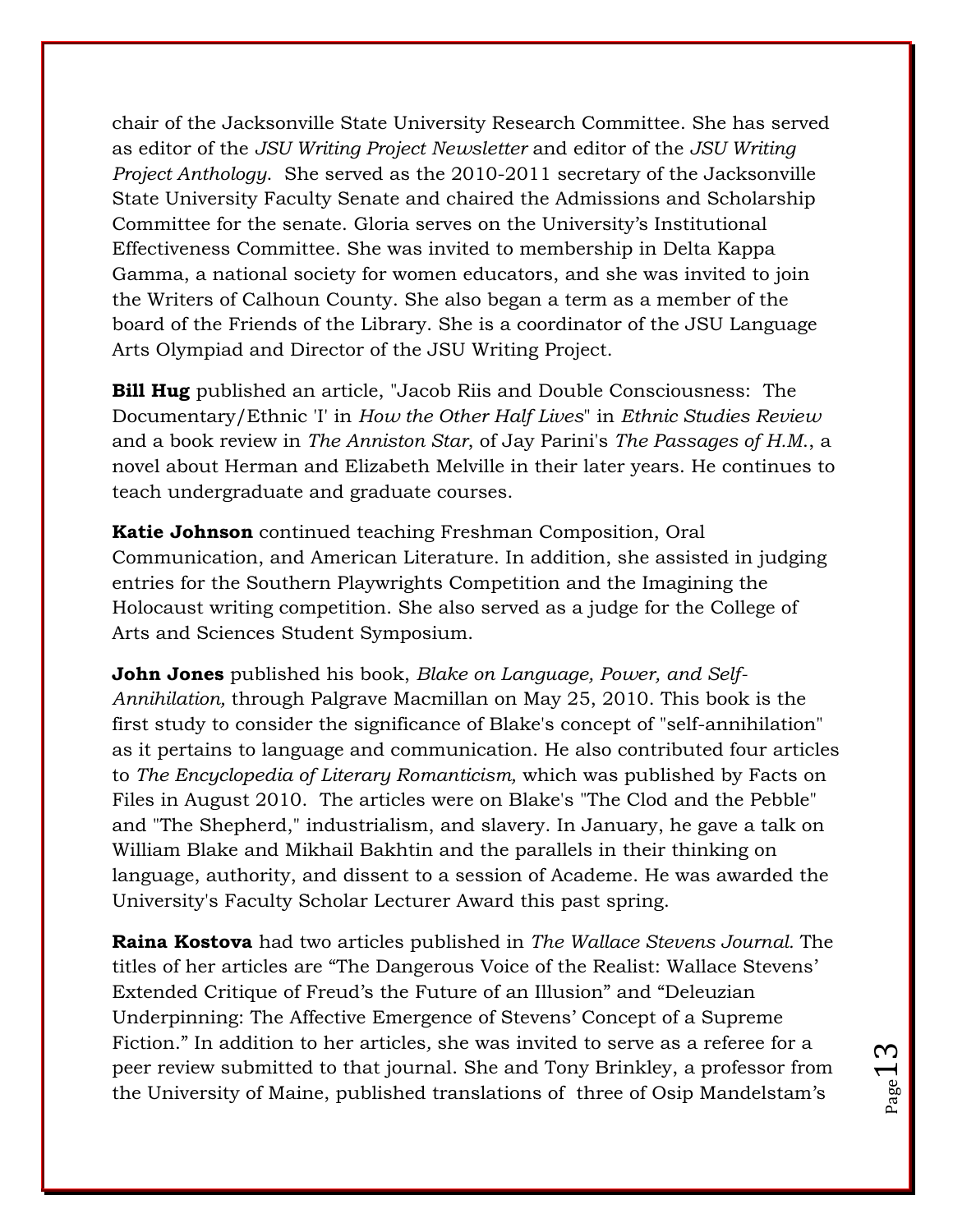chair of the Jacksonville State University Research Committee. She has served as editor of the *JSU Writing Project Newsletter* and editor of the *JSU Writing Project Anthology*. She served as the 2010-2011 secretary of the Jacksonville State University Faculty Senate and chaired the Admissions and Scholarship Committee for the senate. Gloria serves on the University"s Institutional Effectiveness Committee. She was invited to membership in Delta Kappa Gamma, a national society for women educators, and she was invited to join the Writers of Calhoun County. She also began a term as a member of the board of the Friends of the Library. She is a coordinator of the JSU Language Arts Olympiad and Director of the JSU Writing Project.

**Bill Hug** published an article, "Jacob Riis and Double Consciousness: The Documentary/Ethnic 'I' in *How the Other Half Lives*" in *Ethnic Studies Review* and a book review in *The Anniston Star*, of Jay Parini's *The Passages of H.M*., a novel about Herman and Elizabeth Melville in their later years. He continues to teach undergraduate and graduate courses.

**Katie Johnson** continued teaching Freshman Composition, Oral Communication, and American Literature. In addition, she assisted in judging entries for the Southern Playwrights Competition and the Imagining the Holocaust writing competition. She also served as a judge for the College of Arts and Sciences Student Symposium.

**John Jones** published his book, *Blake on Language, Power, and Self-Annihilation,* through Palgrave Macmillan on May 25, 2010. This book is the first study to consider the significance of Blake's concept of "self-annihilation" as it pertains to language and communication. He also contributed four articles to *The Encyclopedia of Literary Romanticism,* which was published by Facts on Files in August 2010. The articles were on Blake's "The Clod and the Pebble" and "The Shepherd," industrialism, and slavery. In January, he gave a talk on William Blake and Mikhail Bakhtin and the parallels in their thinking on language, authority, and dissent to a session of Academe. He was awarded the University's Faculty Scholar Lecturer Award this past spring.

**Raina Kostova** had two articles published in *The Wallace Stevens Journal.* The titles of her articles are "The Dangerous Voice of the Realist: Wallace Stevens" Extended Critique of Freud"s the Future of an Illusion" and "Deleuzian Underpinning: The Affective Emergence of Stevens" Concept of a Supreme Fiction." In addition to her articles*,* she was invited to serve as a referee for a peer review submitted to that journal. She and Tony Brinkley, a professor from the University of Maine, published translations of three of Osip Mandelstam"s

 $_{\rm Page}1$  .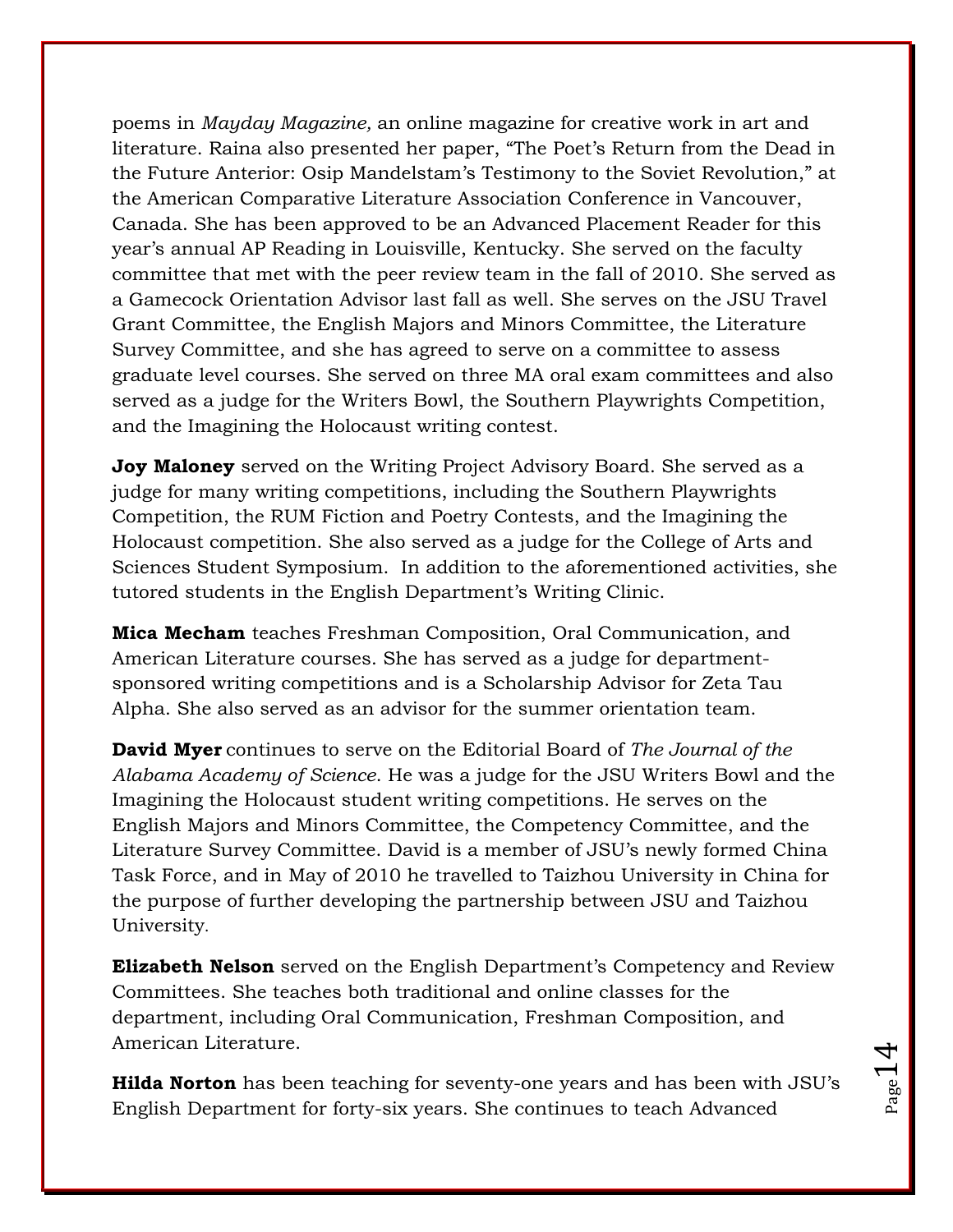poems in *Mayday Magazine,* an online magazine for creative work in art and literature. Raina also presented her paper, "The Poet's Return from the Dead in the Future Anterior: Osip Mandelstam"s Testimony to the Soviet Revolution," at the American Comparative Literature Association Conference in Vancouver, Canada. She has been approved to be an Advanced Placement Reader for this year"s annual AP Reading in Louisville, Kentucky. She served on the faculty committee that met with the peer review team in the fall of 2010. She served as a Gamecock Orientation Advisor last fall as well. She serves on the JSU Travel Grant Committee, the English Majors and Minors Committee, the Literature Survey Committee, and she has agreed to serve on a committee to assess graduate level courses. She served on three MA oral exam committees and also served as a judge for the Writers Bowl, the Southern Playwrights Competition, and the Imagining the Holocaust writing contest.

**Joy Maloney** served on the Writing Project Advisory Board. She served as a judge for many writing competitions, including the Southern Playwrights Competition, the RUM Fiction and Poetry Contests, and the Imagining the Holocaust competition. She also served as a judge for the College of Arts and Sciences Student Symposium. In addition to the aforementioned activities, she tutored students in the English Department's Writing Clinic.

**Mica Mecham** teaches Freshman Composition, Oral Communication, and American Literature courses. She has served as a judge for departmentsponsored writing competitions and is a Scholarship Advisor for Zeta Tau Alpha. She also served as an advisor for the summer orientation team.

**David Myer** continues to serve on the Editorial Board of *The Journal of the Alabama Academy of Science*. He was a judge for the JSU Writers Bowl and the Imagining the Holocaust student writing competitions. He serves on the English Majors and Minors Committee, the Competency Committee, and the Literature Survey Committee. David is a member of JSU"s newly formed China Task Force, and in May of 2010 he travelled to Taizhou University in China for the purpose of further developing the partnership between JSU and Taizhou University.

**Elizabeth Nelson** served on the English Department's Competency and Review Committees. She teaches both traditional and online classes for the department, including Oral Communication, Freshman Composition, and American Literature.

**Hilda Norton** has been teaching for seventy-one years and has been with JSU"s English Department for forty-six years. She continues to teach Advanced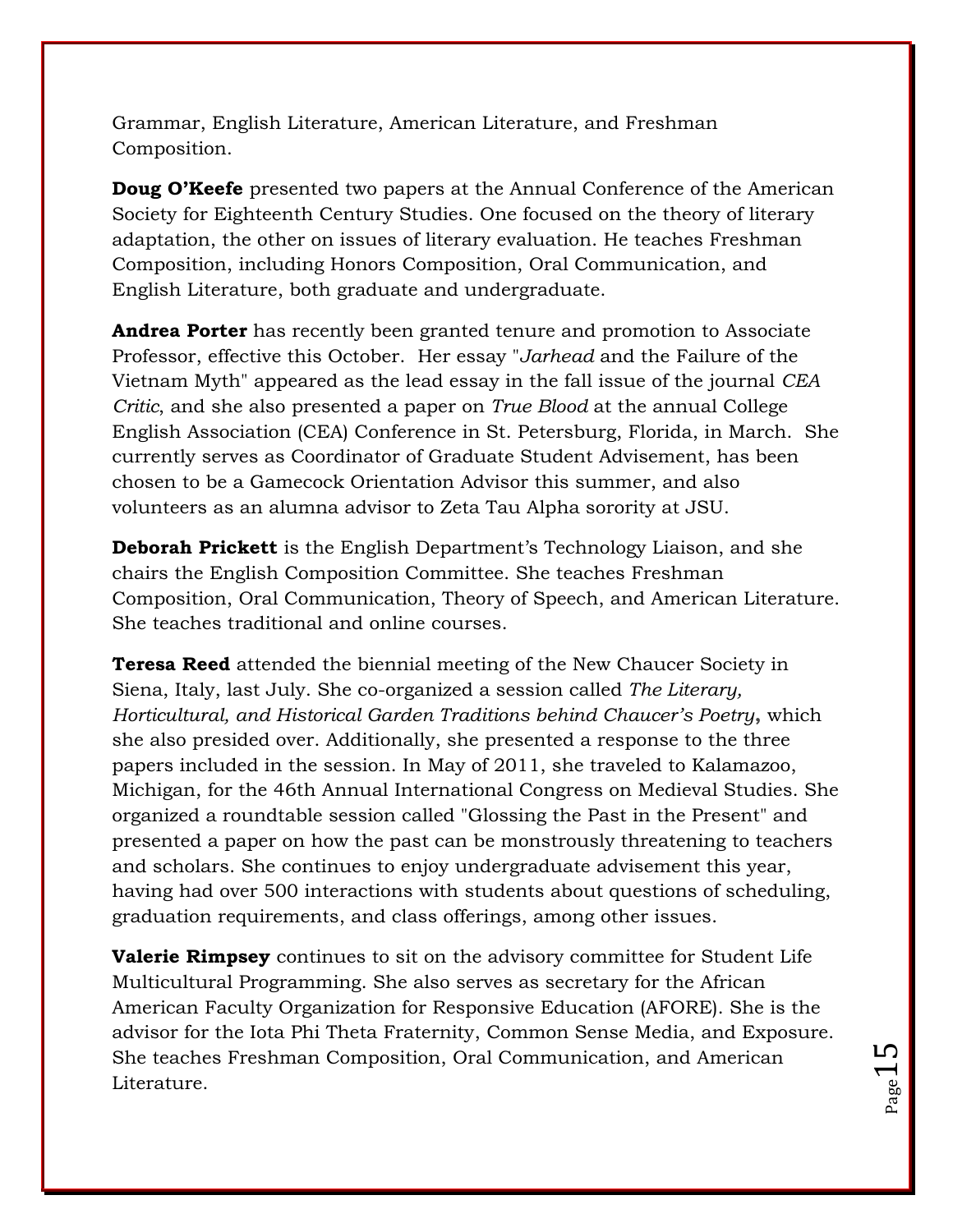Grammar, English Literature, American Literature, and Freshman Composition.

**Doug O'Keefe** presented two papers at the Annual Conference of the American Society for Eighteenth Century Studies. One focused on the theory of literary adaptation, the other on issues of literary evaluation. He teaches Freshman Composition, including Honors Composition, Oral Communication, and English Literature, both graduate and undergraduate.

**Andrea Porter** has recently been granted tenure and promotion to Associate Professor, effective this October. Her essay "*Jarhead* and the Failure of the Vietnam Myth" appeared as the lead essay in the fall issue of the journal *CEA Critic*, and she also presented a paper on *True Blood* at the annual College English Association (CEA) Conference in St. Petersburg, Florida, in March. She currently serves as Coordinator of Graduate Student Advisement, has been chosen to be a Gamecock Orientation Advisor this summer, and also volunteers as an alumna advisor to Zeta Tau Alpha sorority at JSU.

**Deborah Prickett** is the English Department's Technology Liaison, and she chairs the English Composition Committee. She teaches Freshman Composition, Oral Communication, Theory of Speech, and American Literature. She teaches traditional and online courses.

**Teresa Reed** attended the biennial meeting of the New Chaucer Society in Siena, Italy, last July. She co-organized a session called *The Literary, Horticultural, and Historical Garden Traditions behind Chaucer's Poetry***,** which she also presided over. Additionally, she presented a response to the three papers included in the session. In May of 2011, she traveled to Kalamazoo, Michigan, for the 46th Annual International Congress on Medieval Studies. She organized a roundtable session called "Glossing the Past in the Present" and presented a paper on how the past can be monstrously threatening to teachers and scholars. She continues to enjoy undergraduate advisement this year, having had over 500 interactions with students about questions of scheduling, graduation requirements, and class offerings, among other issues.

**Valerie Rimpsey** continues to sit on the advisory committee for Student Life Multicultural Programming. She also serves as secretary for the African American Faculty Organization for Responsive Education (AFORE). She is the advisor for the Iota Phi Theta Fraternity, Common Sense Media, and Exposure. She teaches Freshman Composition, Oral Communication, and American Literature.

 $P_{\text{age}}15$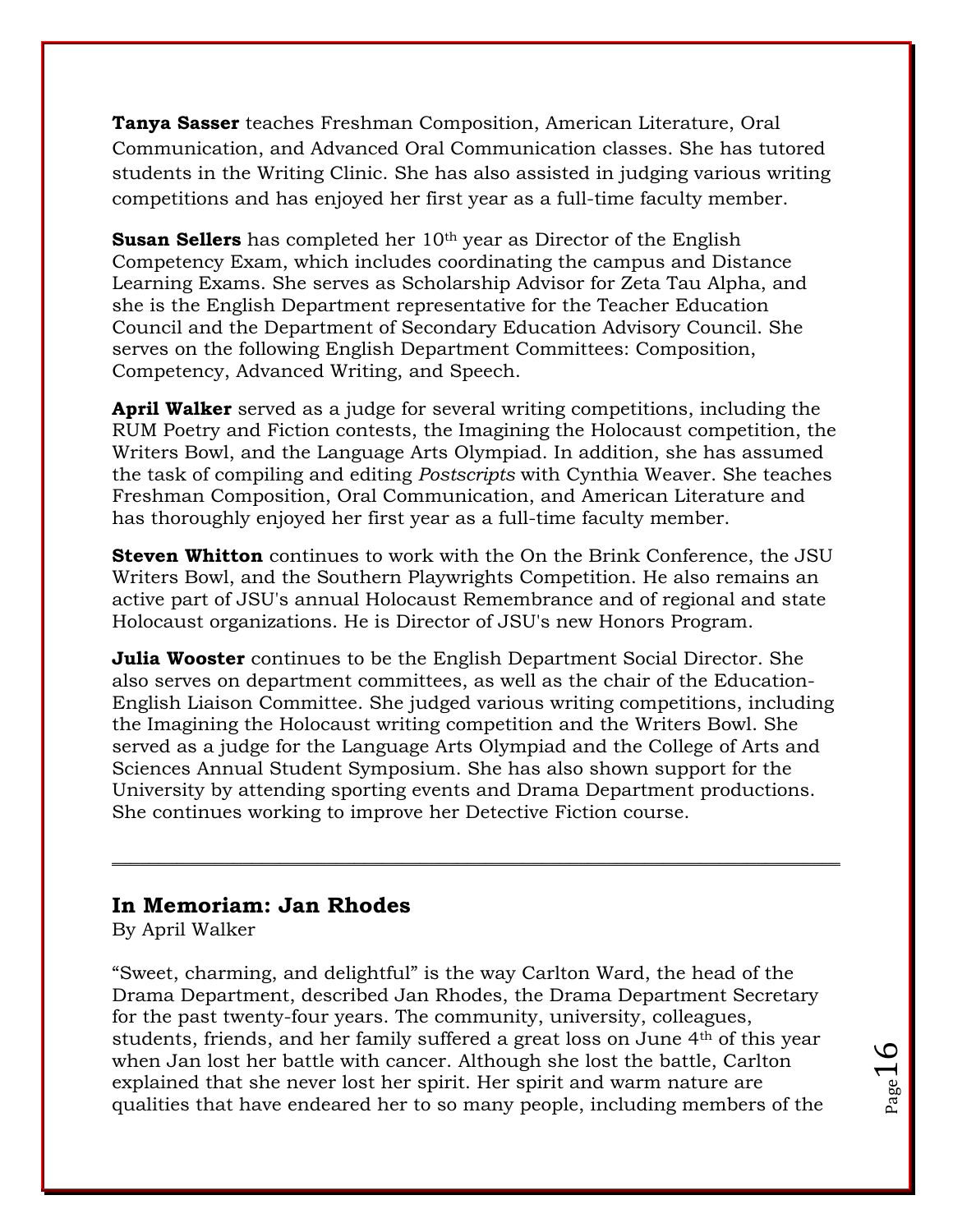**Tanya Sasser** teaches Freshman Composition, American Literature, Oral Communication, and Advanced Oral Communication classes. She has tutored students in the Writing Clinic. She has also assisted in judging various writing competitions and has enjoyed her first year as a full-time faculty member.

**Susan Sellers** has completed her 10<sup>th</sup> year as Director of the English Competency Exam, which includes coordinating the campus and Distance Learning Exams. She serves as Scholarship Advisor for Zeta Tau Alpha, and she is the English Department representative for the Teacher Education Council and the Department of Secondary Education Advisory Council. She serves on the following English Department Committees: Composition, Competency, Advanced Writing, and Speech.

**April Walker** served as a judge for several writing competitions, including the RUM Poetry and Fiction contests, the Imagining the Holocaust competition, the Writers Bowl, and the Language Arts Olympiad. In addition, she has assumed the task of compiling and editing *Postscripts* with Cynthia Weaver. She teaches Freshman Composition, Oral Communication, and American Literature and has thoroughly enjoyed her first year as a full-time faculty member.

**Steven Whitton** continues to work with the On the Brink Conference, the JSU Writers Bowl, and the Southern Playwrights Competition. He also remains an active part of JSU's annual Holocaust Remembrance and of regional and state Holocaust organizations. He is Director of JSU's new Honors Program.

**Julia Wooster** continues to be the English Department Social Director. She also serves on department committees, as well as the chair of the Education-English Liaison Committee. She judged various writing competitions, including the Imagining the Holocaust writing competition and the Writers Bowl. She served as a judge for the Language Arts Olympiad and the College of Arts and Sciences Annual Student Symposium. She has also shown support for the University by attending sporting events and Drama Department productions. She continues working to improve her Detective Fiction course.

\_\_\_\_\_\_\_\_\_\_\_\_\_\_\_\_\_\_\_\_\_\_\_\_\_\_\_\_\_\_\_\_\_\_\_\_\_\_\_\_\_\_\_\_\_\_\_\_\_\_\_\_\_\_\_\_\_\_\_\_\_\_\_\_\_\_\_\_\_\_\_\_\_\_\_\_\_\_

### **In Memoriam: Jan Rhodes**

By April Walker

"Sweet, charming, and delightful" is the way Carlton Ward, the head of the Drama Department, described Jan Rhodes, the Drama Department Secretary for the past twenty-four years. The community, university, colleagues, students, friends, and her family suffered a great loss on June 4th of this year when Jan lost her battle with cancer. Although she lost the battle, Carlton explained that she never lost her spirit. Her spirit and warm nature are qualities that have endeared her to so many people, including members of the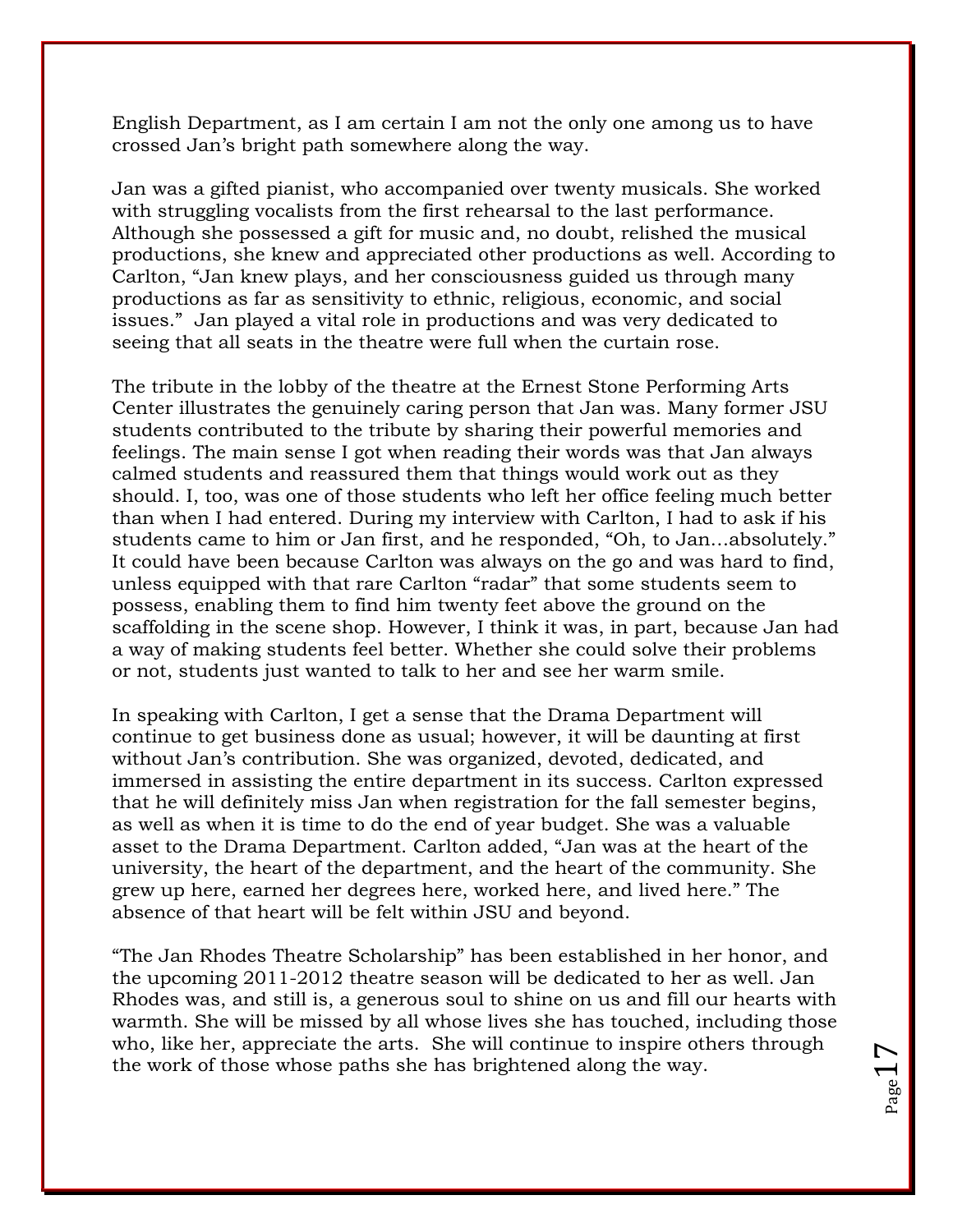English Department, as I am certain I am not the only one among us to have crossed Jan"s bright path somewhere along the way.

Jan was a gifted pianist, who accompanied over twenty musicals. She worked with struggling vocalists from the first rehearsal to the last performance. Although she possessed a gift for music and, no doubt, relished the musical productions, she knew and appreciated other productions as well. According to Carlton, "Jan knew plays, and her consciousness guided us through many productions as far as sensitivity to ethnic, religious, economic, and social issues." Jan played a vital role in productions and was very dedicated to seeing that all seats in the theatre were full when the curtain rose.

The tribute in the lobby of the theatre at the Ernest Stone Performing Arts Center illustrates the genuinely caring person that Jan was. Many former JSU students contributed to the tribute by sharing their powerful memories and feelings. The main sense I got when reading their words was that Jan always calmed students and reassured them that things would work out as they should. I, too, was one of those students who left her office feeling much better than when I had entered. During my interview with Carlton, I had to ask if his students came to him or Jan first, and he responded, "Oh, to Jan…absolutely." It could have been because Carlton was always on the go and was hard to find, unless equipped with that rare Carlton "radar" that some students seem to possess, enabling them to find him twenty feet above the ground on the scaffolding in the scene shop. However, I think it was, in part, because Jan had a way of making students feel better. Whether she could solve their problems or not, students just wanted to talk to her and see her warm smile.

In speaking with Carlton, I get a sense that the Drama Department will continue to get business done as usual; however, it will be daunting at first without Jan"s contribution. She was organized, devoted, dedicated, and immersed in assisting the entire department in its success. Carlton expressed that he will definitely miss Jan when registration for the fall semester begins, as well as when it is time to do the end of year budget. She was a valuable asset to the Drama Department. Carlton added, "Jan was at the heart of the university, the heart of the department, and the heart of the community. She grew up here, earned her degrees here, worked here, and lived here." The absence of that heart will be felt within JSU and beyond.

"The Jan Rhodes Theatre Scholarship" has been established in her honor, and the upcoming 2011-2012 theatre season will be dedicated to her as well. Jan Rhodes was, and still is, a generous soul to shine on us and fill our hearts with warmth. She will be missed by all whose lives she has touched, including those who, like her, appreciate the arts. She will continue to inspire others through the work of those whose paths she has brightened along the way.

Page  $1'$